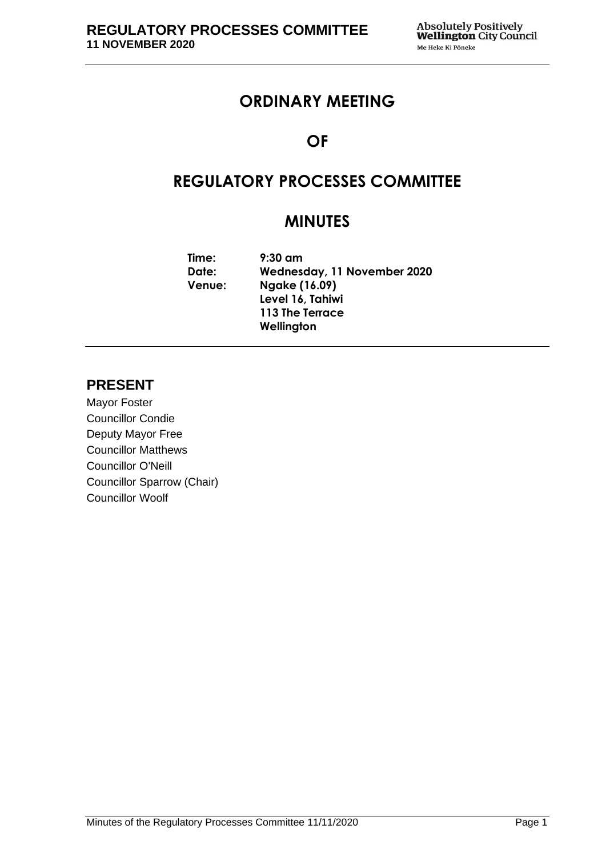# **ORDINARY MEETING**

# **OF**

# **REGULATORY PROCESSES COMMITTEE**

# **MINUTES**

**Time: 9:30 am Date: Wednesday, 11 November 2020 Venue: Ngake (16.09) Level 16, Tahiwi 113 The Terrace Wellington**

# **PRESENT**

Mayor Foster Councillor Condie Deputy Mayor Free Councillor Matthews Councillor O'Neill Councillor Sparrow (Chair) Councillor Woolf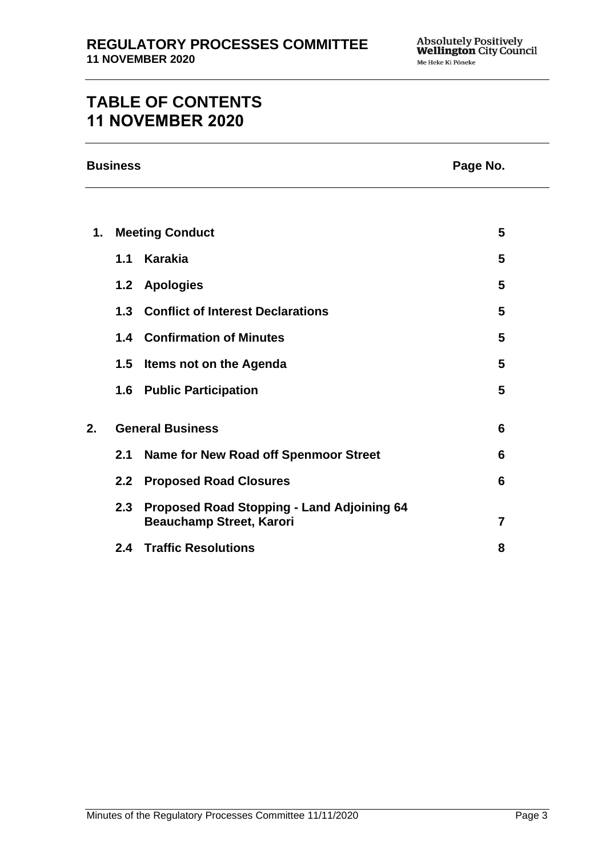# **TABLE OF CONTENTS 11 NOVEMBER 2020**

| <b>Business</b> |
|-----------------|
|-----------------|

# **Page No.**

| 1. | <b>Meeting Conduct</b>       |                                                                                   |                |
|----|------------------------------|-----------------------------------------------------------------------------------|----------------|
|    |                              | 1.1 Karakia                                                                       | 5              |
|    |                              | 1.2 Apologies                                                                     | 5              |
|    |                              | 1.3 Conflict of Interest Declarations                                             | 5              |
|    |                              | <b>1.4 Confirmation of Minutes</b>                                                | 5              |
|    |                              | 1.5 Items not on the Agenda                                                       | 5              |
|    |                              | 1.6 Public Participation                                                          | 5              |
| 2. | <b>General Business</b><br>6 |                                                                                   |                |
|    | 2.1                          | Name for New Road off Spenmoor Street                                             | 6              |
|    |                              | 2.2 Proposed Road Closures                                                        | 6              |
|    |                              | 2.3 Proposed Road Stopping - Land Adjoining 64<br><b>Beauchamp Street, Karori</b> | $\overline{7}$ |
|    |                              | <b>2.4 Traffic Resolutions</b>                                                    | 8              |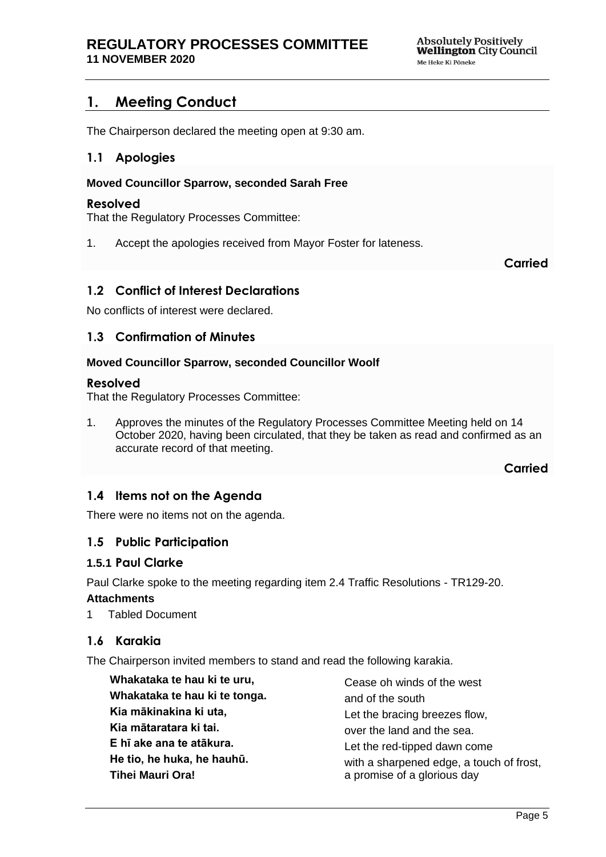# <span id="page-4-0"></span>**1. Meeting Conduct**

<span id="page-4-1"></span>The Chairperson declared the meeting open at 9:30 am.

## **1.1 Apologies**

#### **Moved Councillor Sparrow, seconded Sarah Free**

#### **Resolved**

That the Regulatory Processes Committee:

1. Accept the apologies received from Mayor Foster for lateness.

**Carried**

# <span id="page-4-2"></span>**1.2 Conflict of Interest Declarations**

<span id="page-4-3"></span>No conflicts of interest were declared.

## **1.3 Confirmation of Minutes**

#### **Moved Councillor Sparrow, seconded Councillor Woolf**

#### **Resolved**

That the Regulatory Processes Committee:

1. Approves the minutes of the Regulatory Processes Committee Meeting held on 14 October 2020, having been circulated, that they be taken as read and confirmed as an accurate record of that meeting.

**Carried**

## <span id="page-4-4"></span>**1.4 Items not on the Agenda**

There were no items not on the agenda.

## **1.5 Public Participation**

#### **1.5.1 Paul Clarke**

Paul Clarke spoke to the meeting regarding item 2.4 Traffic Resolutions - TR129-20.

#### **Attachments**

1 Tabled Document

# **1.6 Karakia**

The Chairperson invited members to stand and read the following karakia.

| Whakataka te hau ki te uru,   | Cease oh winds of the west<br>and of the south |  |
|-------------------------------|------------------------------------------------|--|
| Whakataka te hau ki te tonga. |                                                |  |
| Kia mākinakina ki uta,        | Let the bracing breezes flow,                  |  |
| Kia mātaratara ki tai.        | over the land and the sea.                     |  |
| E hī ake ana te atākura.      | Let the red-tipped dawn come                   |  |
| He tio, he huka, he hauhū.    | with a sharpened edge, a touch of frost,       |  |
| Tihei Mauri Ora!              | a promise of a glorious day                    |  |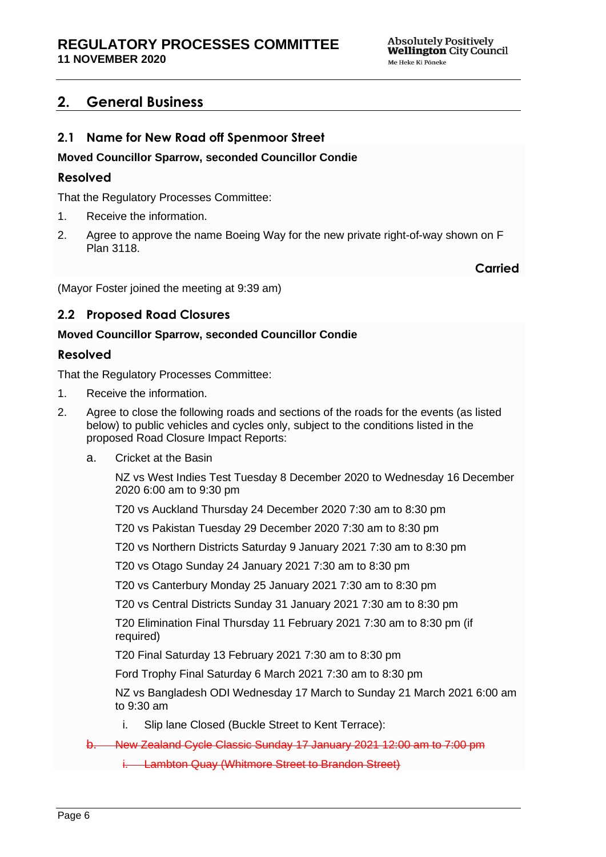# <span id="page-5-0"></span>**2. General Business**

# <span id="page-5-1"></span>**2.1 Name for New Road off Spenmoor Street**

## **Moved Councillor Sparrow, seconded Councillor Condie**

## **Resolved**

That the Regulatory Processes Committee:

- 1. Receive the information.
- 2. Agree to approve the name Boeing Way for the new private right-of-way shown on F Plan 3118.

**Carried**

(Mayor Foster joined the meeting at 9:39 am)

# <span id="page-5-2"></span>**2.2 Proposed Road Closures**

## **Moved Councillor Sparrow, seconded Councillor Condie**

## **Resolved**

That the Regulatory Processes Committee:

- 1. Receive the information.
- 2. Agree to close the following roads and sections of the roads for the events (as listed below) to public vehicles and cycles only, subject to the conditions listed in the proposed Road Closure Impact Reports:
	- a. Cricket at the Basin

NZ vs West Indies Test Tuesday 8 December 2020 to Wednesday 16 December 2020 6:00 am to 9:30 pm

T20 vs Auckland Thursday 24 December 2020 7:30 am to 8:30 pm

T20 vs Pakistan Tuesday 29 December 2020 7:30 am to 8:30 pm

T20 vs Northern Districts Saturday 9 January 2021 7:30 am to 8:30 pm

T20 vs Otago Sunday 24 January 2021 7:30 am to 8:30 pm

T20 vs Canterbury Monday 25 January 2021 7:30 am to 8:30 pm

T20 vs Central Districts Sunday 31 January 2021 7:30 am to 8:30 pm

T20 Elimination Final Thursday 11 February 2021 7:30 am to 8:30 pm (if required)

T20 Final Saturday 13 February 2021 7:30 am to 8:30 pm

Ford Trophy Final Saturday 6 March 2021 7:30 am to 8:30 pm

NZ vs Bangladesh ODI Wednesday 17 March to Sunday 21 March 2021 6:00 am to 9:30 am

i. Slip lane Closed (Buckle Street to Kent Terrace):

b. New Zealand Cycle Classic Sunday 17 January 2021 12:00 am to 7:00 pm

i. Lambton Quay (Whitmore Street to Brandon Street)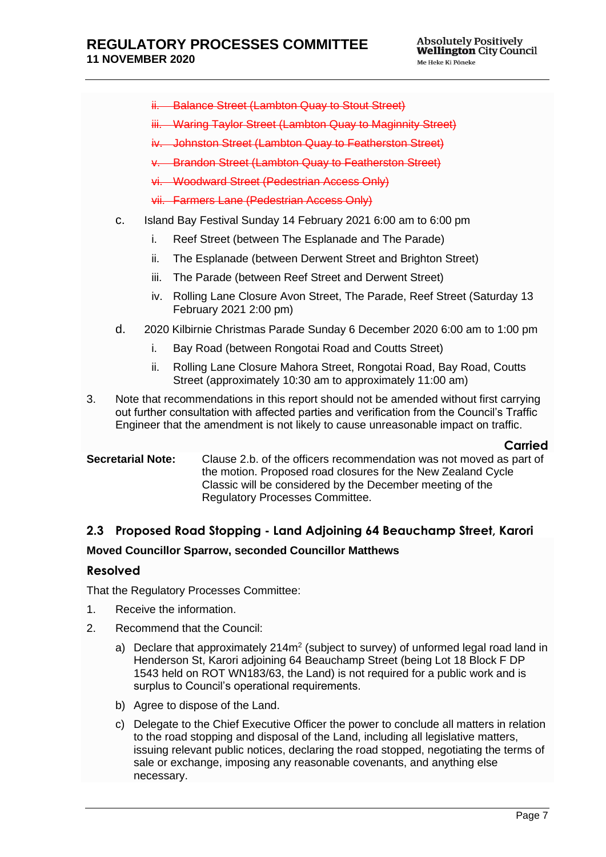- ii. Balance Street (Lambton Quay to Stout Street)
- iii. Waring Taylor Street (Lambton Quay to Maginnity Street)
- iv. Johnston Street (Lambton Quay to Featherston Street)
- v. Brandon Street (Lambton Quay to Featherston Street)
- vi. Woodward Street (Pedestrian Access Only)
- vii. Farmers Lane (Pedestrian Access Only)
- c. Island Bay Festival Sunday 14 February 2021 6:00 am to 6:00 pm
	- i. Reef Street (between The Esplanade and The Parade)
	- ii. The Esplanade (between Derwent Street and Brighton Street)
	- iii. The Parade (between Reef Street and Derwent Street)
	- iv. Rolling Lane Closure Avon Street, The Parade, Reef Street (Saturday 13 February 2021 2:00 pm)
- d. 2020 Kilbirnie Christmas Parade Sunday 6 December 2020 6:00 am to 1:00 pm
	- i. Bay Road (between Rongotai Road and Coutts Street)
	- ii. Rolling Lane Closure Mahora Street, Rongotai Road, Bay Road, Coutts Street (approximately 10:30 am to approximately 11:00 am)
- 3. Note that recommendations in this report should not be amended without first carrying out further consultation with affected parties and verification from the Council's Traffic Engineer that the amendment is not likely to cause unreasonable impact on traffic.

#### **Carried**

**Secretarial Note:** Clause 2.b. of the officers recommendation was not moved as part of the motion. Proposed road closures for the New Zealand Cycle Classic will be considered by the December meeting of the Regulatory Processes Committee.

# <span id="page-6-0"></span>**2.3 Proposed Road Stopping - Land Adjoining 64 Beauchamp Street, Karori Moved Councillor Sparrow, seconded Councillor Matthews**

## **Resolved**

That the Regulatory Processes Committee:

- 1. Receive the information.
- 2. Recommend that the Council:
	- a) Declare that approximately  $214m^2$  (subject to survey) of unformed legal road land in Henderson St, Karori adjoining 64 Beauchamp Street (being Lot 18 Block F DP 1543 held on ROT WN183/63, the Land) is not required for a public work and is surplus to Council's operational requirements.
	- b) Agree to dispose of the Land.
	- c) Delegate to the Chief Executive Officer the power to conclude all matters in relation to the road stopping and disposal of the Land, including all legislative matters, issuing relevant public notices, declaring the road stopped, negotiating the terms of sale or exchange, imposing any reasonable covenants, and anything else necessary.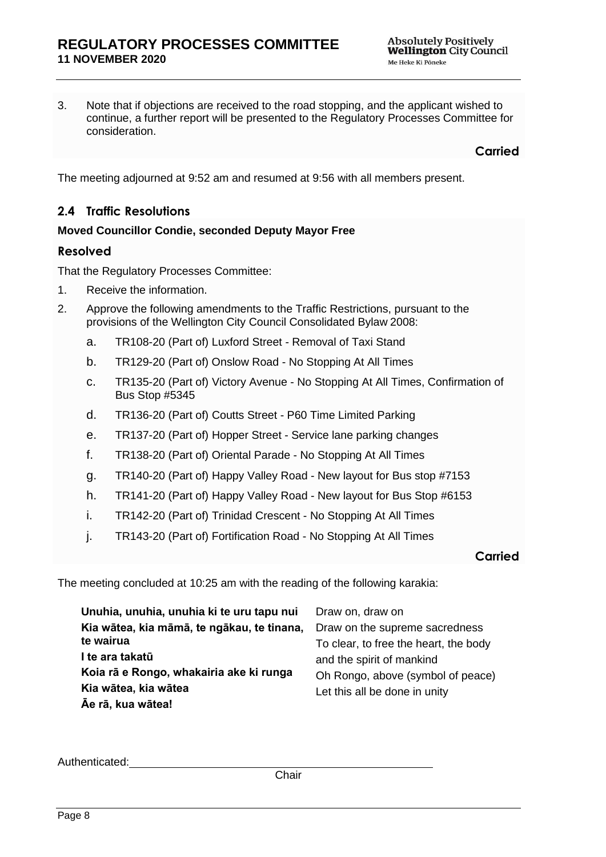3. Note that if objections are received to the road stopping, and the applicant wished to continue, a further report will be presented to the Regulatory Processes Committee for consideration.

**Carried**

The meeting adjourned at 9:52 am and resumed at 9:56 with all members present.

# <span id="page-7-0"></span>**2.4 Traffic Resolutions**

## **Moved Councillor Condie, seconded Deputy Mayor Free**

#### **Resolved**

That the Regulatory Processes Committee:

- 1. Receive the information.
- 2. Approve the following amendments to the Traffic Restrictions, pursuant to the provisions of the Wellington City Council Consolidated Bylaw 2008:
	- a. TR108-20 (Part of) Luxford Street Removal of Taxi Stand
	- b. TR129-20 (Part of) Onslow Road No Stopping At All Times
	- c. TR135-20 (Part of) Victory Avenue No Stopping At All Times, Confirmation of Bus Stop #5345
	- d. TR136-20 (Part of) Coutts Street P60 Time Limited Parking
	- e. TR137-20 (Part of) Hopper Street Service lane parking changes
	- f. TR138-20 (Part of) Oriental Parade No Stopping At All Times
	- g. TR140-20 (Part of) Happy Valley Road New layout for Bus stop #7153
	- h. TR141-20 (Part of) Happy Valley Road New layout for Bus Stop #6153
	- i. TR142-20 (Part of) Trinidad Crescent No Stopping At All Times
	- j. TR143-20 (Part of) Fortification Road No Stopping At All Times

#### **Carried**

The meeting concluded at 10:25 am with the reading of the following karakia:

| Unuhia, unuhia, unuhia ki te uru tapu nui  | Draw on, draw on                                                   |
|--------------------------------------------|--------------------------------------------------------------------|
| Kia wātea, kia māmā, te ngākau, te tinana, | Draw on the supreme sacredness                                     |
| te wairua                                  | To clear, to free the heart, the body                              |
| l te ara takatū                            | and the spirit of mankind                                          |
| Koia rā e Rongo, whakairia ake ki runga    | Oh Rongo, above (symbol of peace)<br>Let this all be done in unity |
| Kia wātea, kia wātea                       |                                                                    |
| Āe rā, kua wātea!                          |                                                                    |

Authenticated: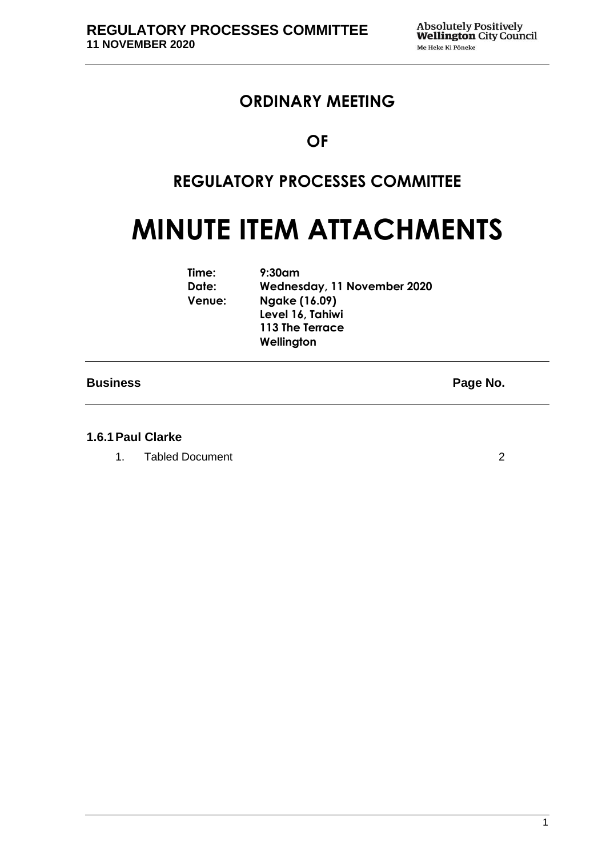# **ORDINARY MEETING**

# **OF**

# **REGULATORY PROCESSES COMMITTEE**

# **MINUTE ITEM ATTACHMENTS**

| Time:  | $9:30$ am                   |
|--------|-----------------------------|
| Date:  | Wednesday, 11 November 2020 |
| Venue: | Ngake (16.09)               |
|        | Level 16, Tahiwi            |
|        | 113 The Terrace             |
|        | Wellington                  |
|        |                             |

## **Business Page No.**

#### **1.6.1Paul Clarke**

1. Tabled Document [2](#page-9-0)